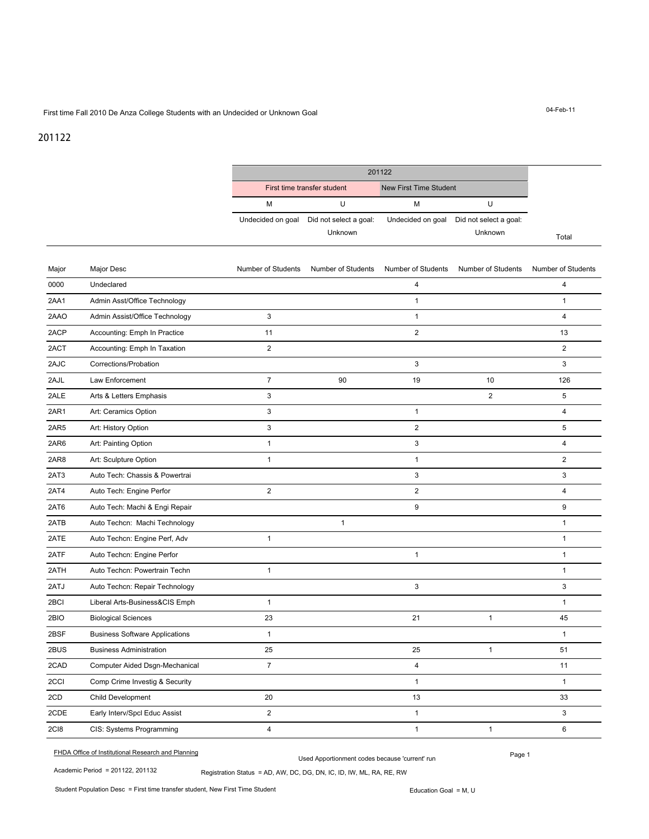## First time Fall 2010 De Anza College Students with an Undecided or Unknown Goal

## 201122

|       |                                       |                         | 201122                            |                         |                                   |                         |
|-------|---------------------------------------|-------------------------|-----------------------------------|-------------------------|-----------------------------------|-------------------------|
|       |                                       |                         | First time transfer student       |                         | <b>New First Time Student</b>     |                         |
|       |                                       | М                       | U                                 | M                       | U                                 |                         |
|       |                                       | Undecided on goal       | Did not select a goal:<br>Unknown | Undecided on goal       | Did not select a goal:<br>Unknown | Total                   |
| Major | Major Desc                            | Number of Students      | Number of Students                | Number of Students      | Number of Students                | Number of Students      |
| 0000  | Undeclared                            |                         |                                   | 4                       |                                   | 4                       |
| 2AA1  | Admin Asst/Office Technology          |                         |                                   | $\mathbf{1}$            |                                   | $\mathbf{1}$            |
| 2AAO  | Admin Assist/Office Technology        | 3                       |                                   | $\mathbf{1}$            |                                   | $\overline{4}$          |
| 2ACP  | Accounting: Emph In Practice          | 11                      |                                   | $\overline{2}$          |                                   | 13                      |
| 2ACT  | Accounting: Emph In Taxation          | 2                       |                                   |                         |                                   | $\overline{2}$          |
| 2AJC  | Corrections/Probation                 |                         |                                   | 3                       |                                   | 3                       |
| 2AJL  | Law Enforcement                       | $\overline{7}$          | 90                                | 19                      | 10                                | 126                     |
| 2ALE  | Arts & Letters Emphasis               | 3                       |                                   |                         | 2                                 | 5                       |
| 2AR1  | Art: Ceramics Option                  | 3                       |                                   | 1                       |                                   | $\overline{4}$          |
| 2AR5  | Art: History Option                   | 3                       |                                   | 2                       |                                   | 5                       |
| 2AR6  | Art: Painting Option                  | 1                       |                                   | 3                       |                                   | $\overline{\mathbf{4}}$ |
| 2AR8  | Art: Sculpture Option                 | $\mathbf{1}$            |                                   | $\mathbf{1}$            |                                   | $\overline{2}$          |
| 2AT3  | Auto Tech: Chassis & Powertrai        |                         |                                   | 3                       |                                   | 3                       |
| 2AT4  | Auto Tech: Engine Perfor              | $\overline{2}$          |                                   | $\overline{2}$          |                                   | $\overline{\mathbf{4}}$ |
| 2AT6  | Auto Tech: Machi & Engi Repair        |                         |                                   | 9                       |                                   | 9                       |
| 2ATB  | Auto Techcn: Machi Technology         |                         | $\mathbf{1}$                      |                         |                                   | $\mathbf{1}$            |
| 2ATE  | Auto Techcn: Engine Perf, Adv         | $\mathbf{1}$            |                                   |                         |                                   | $\mathbf{1}$            |
| 2ATF  | Auto Techcn: Engine Perfor            |                         |                                   | $\mathbf{1}$            |                                   | $\mathbf{1}$            |
| 2ATH  | Auto Techcn: Powertrain Techn         | $\mathbf{1}$            |                                   |                         |                                   | $\mathbf{1}$            |
| 2ATJ  | Auto Techcn: Repair Technology        |                         |                                   | 3                       |                                   | 3                       |
| 2BCI  | Liberal Arts-Business&CIS Emph        | $\mathbf{1}$            |                                   |                         |                                   | $\mathbf{1}$            |
| 2BIO  | <b>Biological Sciences</b>            | 23                      |                                   | 21                      | $\mathbf{1}$                      | 45                      |
| 2BSF  | <b>Business Software Applications</b> | 1                       |                                   |                         |                                   | 1                       |
| 2BUS  | <b>Business Administration</b>        | 25                      |                                   | 25                      | $\mathbf{1}$                      | 51                      |
| 2CAD  | Computer Aided Dsgn-Mechanical        | $\overline{7}$          |                                   | $\overline{\mathbf{4}}$ |                                   | 11                      |
| 2CCI  | Comp Crime Investig & Security        |                         |                                   | $\mathbf{1}$            |                                   | $\mathbf{1}$            |
| 2CD   | Child Development                     | 20                      |                                   | 13                      |                                   | 33                      |
| 2CDE  | Early Interv/Spcl Educ Assist         | $\overline{2}$          |                                   | $\mathbf{1}$            |                                   | 3                       |
| 2CI8  | CIS: Systems Programming              | $\overline{\mathbf{4}}$ |                                   | $\mathbf{1}$            | $\mathbf{1}$                      | 6                       |

Page 1 FHDA Office of Institutional Research and Planning Used Apportionment codes because 'current' run

Student Population Desc = First time transfer student, New First Time Student

04-Feb-11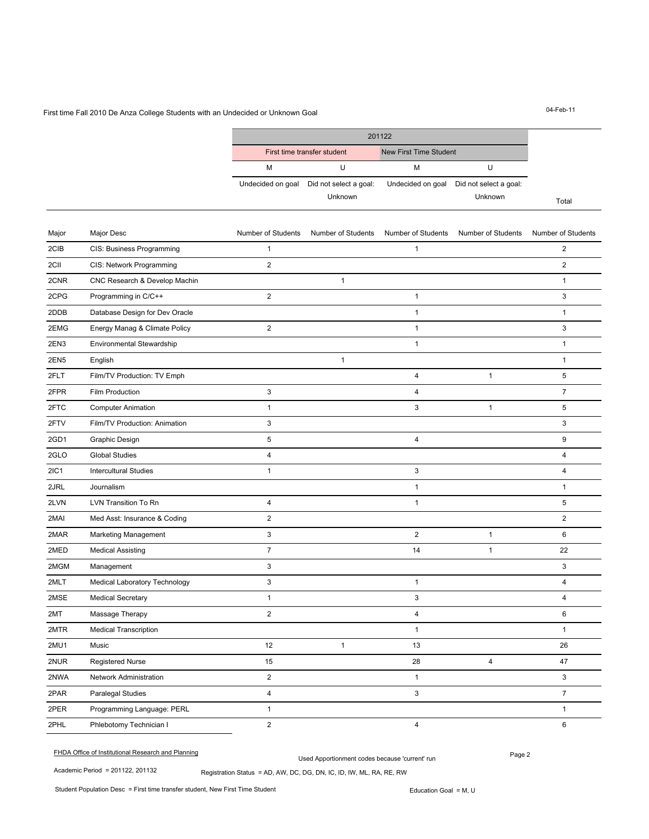## First time Fall 2010 De Anza College Students with an Undecided or Unknown Goal

201122 Total First time transfer student New First Time Student M U M U Undecided on goal Did not select a goal: Unknown Undecided on goal Did not select a goal: Unknown

| Major            | Major Desc                     | Number of Students      | Number of Students | Number of Students | Number of Students | Number of Students      |
|------------------|--------------------------------|-------------------------|--------------------|--------------------|--------------------|-------------------------|
| 2CIB             | CIS: Business Programming      | 1                       |                    | $\mathbf{1}$       |                    | $\overline{2}$          |
| 2CII             | CIS: Network Programming       | 2                       |                    |                    |                    | 2                       |
| 2CNR             | CNC Research & Develop Machin  |                         | $\mathbf{1}$       |                    |                    | $\mathbf{1}$            |
| 2CPG             | Programming in C/C++           | $\overline{2}$          |                    | $\mathbf{1}$       |                    | 3                       |
| 2DDB             | Database Design for Dev Oracle |                         |                    | $\mathbf{1}$       |                    | $\mathbf{1}$            |
| 2EMG             | Energy Manag & Climate Policy  | 2                       |                    | $\mathbf{1}$       |                    | 3                       |
| 2EN3             | Environmental Stewardship      |                         |                    | $\mathbf{1}$       |                    | $\mathbf{1}$            |
| 2EN <sub>5</sub> | English                        |                         | $\mathbf{1}$       |                    |                    | $\mathbf{1}$            |
| 2FLT             | Film/TV Production: TV Emph    |                         |                    | $\pmb{4}$          | $\mathbf{1}$       | 5                       |
| 2FPR             | Film Production                | 3                       |                    | $\overline{4}$     |                    | $\overline{7}$          |
| 2FTC             | <b>Computer Animation</b>      | $\mathbf{1}$            |                    | 3                  | $\mathbf{1}$       | 5                       |
| 2FTV             | Film/TV Production: Animation  | 3                       |                    |                    |                    | 3                       |
| 2GD1             | Graphic Design                 | 5                       |                    | $\overline{4}$     |                    | 9                       |
| 2GLO             | <b>Global Studies</b>          | $\overline{\mathbf{4}}$ |                    |                    |                    | $\overline{\mathbf{4}}$ |
| <b>2IC1</b>      | <b>Intercultural Studies</b>   | $\mathbf{1}$            |                    | 3                  |                    | $\overline{4}$          |
| 2JRL             | Journalism                     |                         |                    | $\mathbf{1}$       |                    | $\mathbf{1}$            |
| 2LVN             | LVN Transition To Rn           | $\overline{4}$          |                    | $\mathbf{1}$       |                    | 5                       |
| 2MAI             | Med Asst: Insurance & Coding   | 2                       |                    |                    |                    | $\overline{2}$          |
| 2MAR             | <b>Marketing Management</b>    | 3                       |                    | 2                  | $\mathbf{1}$       | 6                       |
| 2MED             | <b>Medical Assisting</b>       | $\overline{7}$          |                    | 14                 | $\mathbf{1}$       | 22                      |
| 2MGM             | Management                     | 3                       |                    |                    |                    | 3                       |
| 2MLT             | Medical Laboratory Technology  | 3                       |                    | $\mathbf{1}$       |                    | $\overline{4}$          |
| 2MSE             | <b>Medical Secretary</b>       | $\mathbf{1}$            |                    | 3                  |                    | $\overline{4}$          |
| 2MT              | Massage Therapy                | $\overline{2}$          |                    | 4                  |                    | 6                       |
| 2MTR             | <b>Medical Transcription</b>   |                         |                    | $\mathbf{1}$       |                    | $\mathbf{1}$            |
| 2MU1             | Music                          | 12                      | $\mathbf{1}$       | 13                 |                    | 26                      |
| 2NUR             | <b>Registered Nurse</b>        | 15                      |                    | 28                 | 4                  | 47                      |
| 2NWA             | Network Administration         | $\overline{2}$          |                    | $\mathbf{1}$       |                    | 3                       |
| 2PAR             | Paralegal Studies              | 4                       |                    | 3                  |                    | $\overline{7}$          |
| 2PER             | Programming Language: PERL     | $\mathbf{1}$            |                    |                    |                    | $\mathbf{1}$            |
| 2PHL             | Phlebotomy Technician I        | $\overline{2}$          |                    | $\overline{4}$     |                    | 6                       |

PART CHIDA Office of Institutional Research and Planning Page 2

Used Apportionment codes because 'current' run

Registration Status = AD, AW, DC, DG, DN, IC, ID, IW, ML, RA, RE, RW

Academic Period = 201122, 201132

04-Feb-11